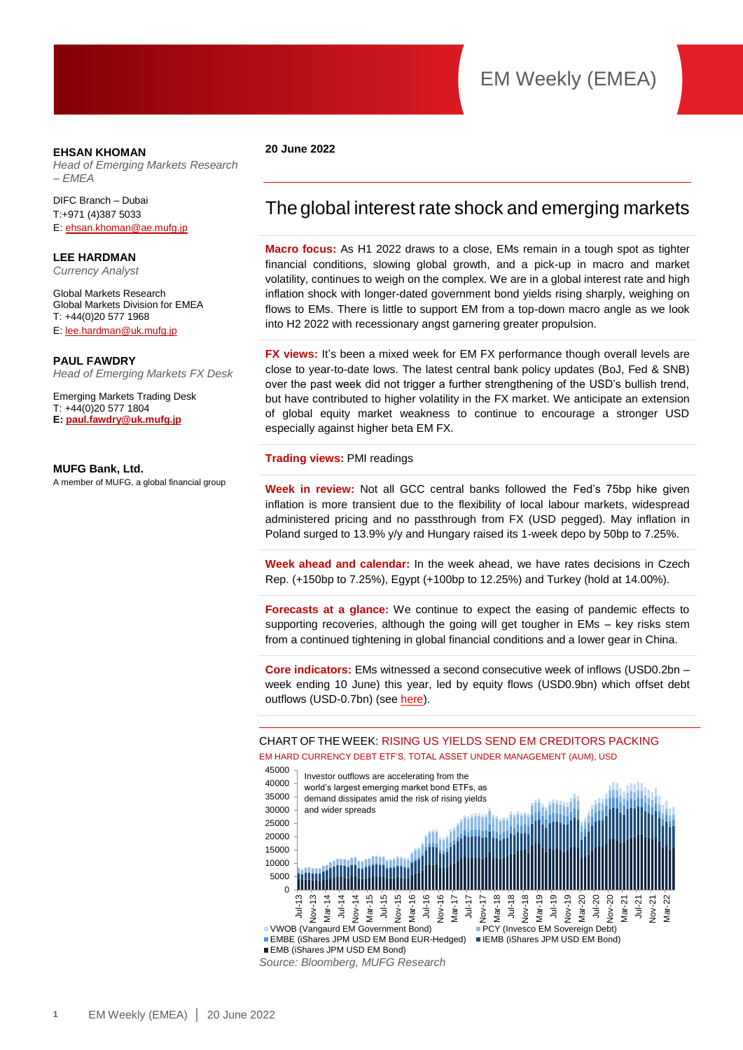#### **EHSAN KHOMAN**

*Head of Emerging Markets Research – EMEA* 

DIFC Branch – Dubai T:+971 (4)387 5033 E[: ehsan.khoman@ae.mufg.jp](mailto:ehsan.khoman@ae.mufg.jp)

**LEE HARDMAN** *Currency Analyst*

Global Markets Research Global Markets Division for EMEA T: +44(0)20 577 1968 E[: lee.hardman@uk.mufg.jp](mailto:lee.hardman@uk.mufg.jp)

#### **PAUL FAWDRY**

*Head of Emerging Markets FX Desk*

Emerging Markets Trading Desk T: +44(0)20 577 1804 **E: [paul.fawdry@uk.mufg.jp](mailto:paul.fawdry@uk.mufg.jp)**

**MUFG Bank, Ltd.** A member of MUFG, a global financial group

#### **20 June 2022**

### The global interest rate shock and emerging markets

**Macro focus:** As H1 2022 draws to a close, EMs remain in a tough spot as tighter financial conditions, slowing global growth, and a pick-up in macro and market volatility, continues to weigh on the complex. We are in a global interest rate and high inflation shock with longer-dated government bond yields rising sharply, weighing on flows to EMs. There is little to support EM from a top-down macro angle as we look into H2 2022 with recessionary angst garnering greater propulsion.

**FX views:** It's been a mixed week for EM FX performance though overall levels are close to year-to-date lows. The latest central bank policy updates (BoJ, Fed & SNB) over the past week did not trigger a further strengthening of the USD's bullish trend, but have contributed to higher volatility in the FX market. We anticipate an extension of global equity market weakness to continue to encourage a stronger USD especially against higher beta EM FX.

#### **Trading views:** PMI readings

**Week in review:** Not all GCC central banks followed the Fed's 75bp hike given inflation is more transient due to the flexibility of local labour markets, widespread administered pricing and no passthrough from FX (USD pegged). May inflation in Poland surged to 13.9% y/y and Hungary raised its 1-week depo by 50bp to 7.25%.

**Week ahead and calendar:** In the week ahead, we have rates decisions in Czech Rep. (+150bp to 7.25%), Egypt (+100bp to 12.25%) and Turkey (hold at 14.00%).

**Forecasts at a glance:** We continue to expect the easing of pandemic effects to supporting recoveries, although the going will get tougher in EMs – key risks stem from a continued tightening in global financial conditions and a lower gear in China.

**Core indicators:** EMs witnessed a second consecutive week of inflows (USD0.2bn – week ending 10 June) this year, led by equity flows (USD0.9bn) which offset debt outflows (USD-0.7bn) (see [here\)](https://market-research.bk.mufg.jp/distribution/47256_ext_01_en_0.pdf).

#### CHART OF THE WEEK: RISING US YIELDS SEND EM CREDITORS PACKING EM HARD CURRENCY DEBT ETF'S, TOTAL ASSET UNDER MANAGEMENT (AUM), USD



*Source: Bloomberg, MUFG Research*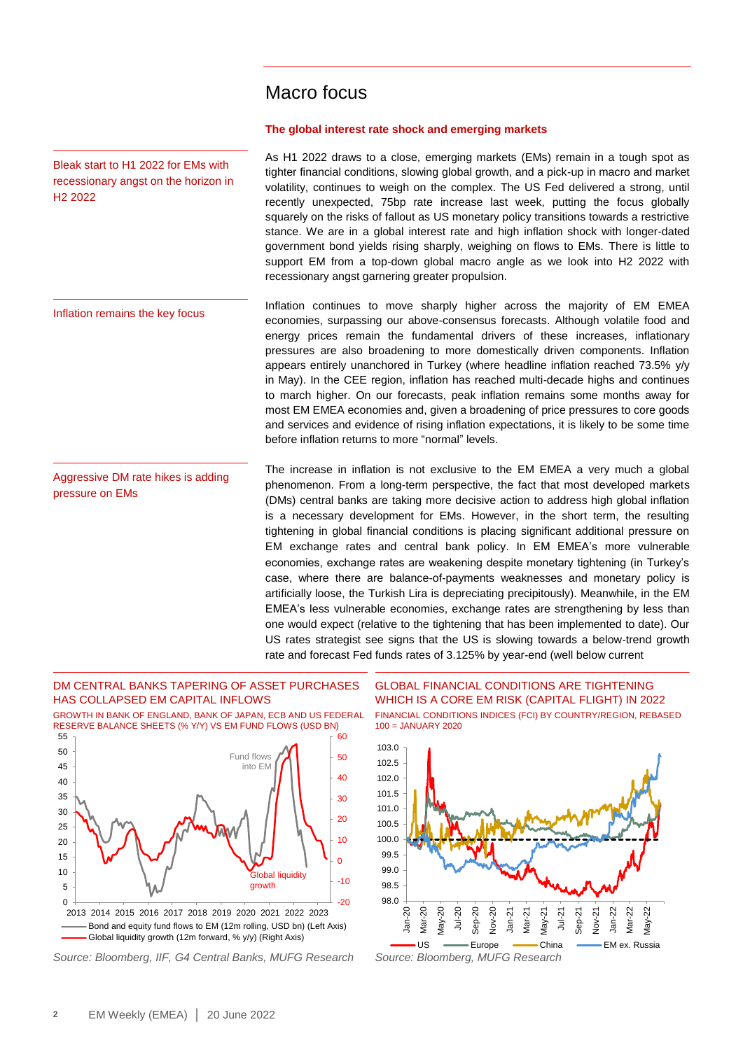### Macro focus

#### **The global interest rate shock and emerging markets**

As H1 2022 draws to a close, emerging markets (EMs) remain in a tough spot as tighter financial conditions, slowing global growth, and a pick-up in macro and market volatility, continues to weigh on the complex. The US Fed delivered a strong, until recently unexpected, 75bp rate increase last week, putting the focus globally squarely on the risks of fallout as US monetary policy transitions towards a restrictive stance. We are in a global interest rate and high inflation shock with longer-dated government bond yields rising sharply, weighing on flows to EMs. There is little to support EM from a top-down global macro angle as we look into H2 2022 with recessionary angst garnering greater propulsion.

Inflation continues to move sharply higher across the majority of EM EMEA economies, surpassing our above-consensus forecasts. Although volatile food and energy prices remain the fundamental drivers of these increases, inflationary pressures are also broadening to more domestically driven components. Inflation appears entirely unanchored in Turkey (where headline inflation reached 73.5% y/y in May). In the CEE region, inflation has reached multi-decade highs and continues to march higher. On our forecasts, peak inflation remains some months away for most EM EMEA economies and, given a broadening of price pressures to core goods and services and evidence of rising inflation expectations, it is likely to be some time before inflation returns to more "normal" levels. Inflation remains the key focus

The increase in inflation is not exclusive to the EM EMEA a very much a global phenomenon. From a long-term perspective, the fact that most developed markets (DMs) central banks are taking more decisive action to address high global inflation is a necessary development for EMs. However, in the short term, the resulting tightening in global financial conditions is placing significant additional pressure on EM exchange rates and central bank policy. In EM EMEA's more vulnerable economies, exchange rates are weakening despite monetary tightening (in Turkey's case, where there are balance-of-payments weaknesses and monetary policy is artificially loose, the Turkish Lira is depreciating precipitously). Meanwhile, in the EM EMEA's less vulnerable economies, exchange rates are strengthening by less than one would expect (relative to the tightening that has been implemented to date). Our US rates strategist see signs that the US is slowing towards a below-trend growth rate and forecast Fed funds rates of 3.125% by year-end (well below current Aggressive DM rate hikes is adding pressure on EMs

### DM CENTRAL BANKS TAPERING OF ASSET PURCHASES HAS COLLAPSED EM CAPITAL INFLOWS

Bleak start to H1 2022 for EMs with recessionary angst on the horizon in

H2 2022

GROWTH IN BANK OF ENGLAND, BANK OF JAPAN, ECB AND US FEDERAL RESERVE BALANCE SHEETS (% Y/Y) VS EM FUND FLOWS (USD BN) ົຂ∩



*Source: Bloomberg, IIF, G4 Central Banks, MUFG Research Source: Bloomberg, MUFG Research*

GLOBAL FINANCIAL CONDITIONS ARE TIGHTENING WHICH IS A CORE EM RISK (CAPITAL FLIGHT) IN 2022 FINANCIAL CONDITIONS INDICES (FCI) BY COUNTRY/REGION, REBASED 100 = JANUARY 2020

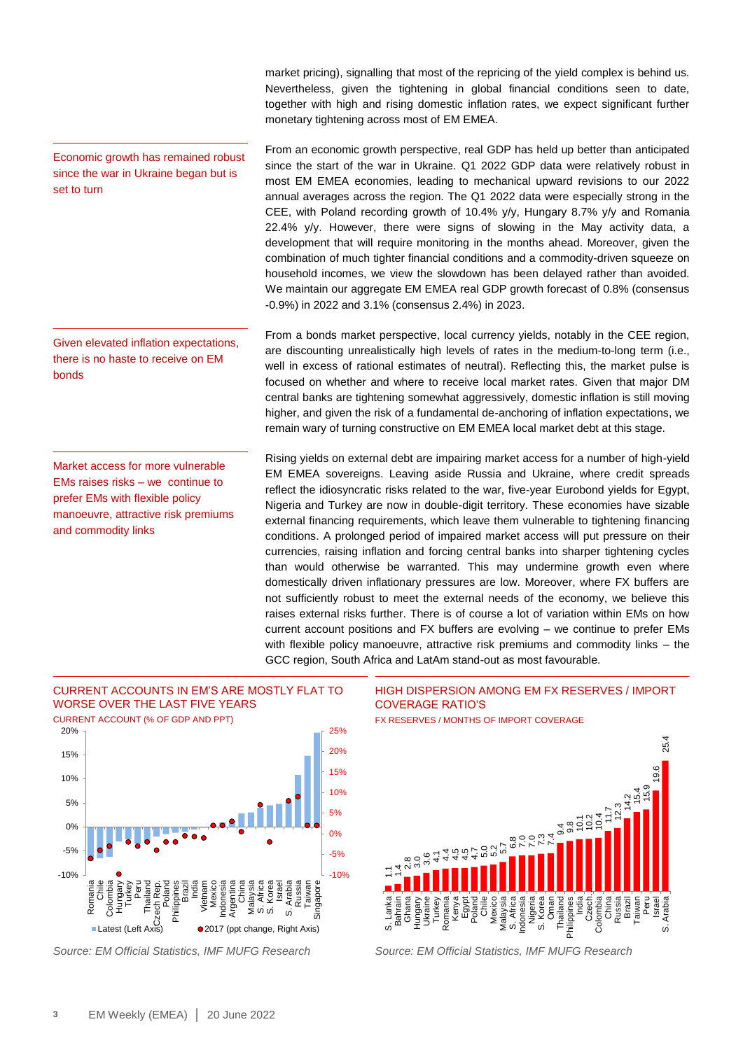market pricing), signalling that most of the repricing of the yield complex is behind us. Nevertheless, given the tightening in global financial conditions seen to date, together with high and rising domestic inflation rates, we expect significant further monetary tightening across most of EM EMEA.

From an economic growth perspective, real GDP has held up better than anticipated since the start of the war in Ukraine. Q1 2022 GDP data were relatively robust in most EM EMEA economies, leading to mechanical upward revisions to our 2022 annual averages across the region. The Q1 2022 data were especially strong in the CEE, with Poland recording growth of 10.4% y/y, Hungary 8.7% y/y and Romania 22.4% y/y. However, there were signs of slowing in the May activity data, a development that will require monitoring in the months ahead. Moreover, given the combination of much tighter financial conditions and a commodity-driven squeeze on household incomes, we view the slowdown has been delayed rather than avoided. We maintain our aggregate EM EMEA real GDP growth forecast of 0.8% (consensus -0.9%) in 2022 and 3.1% (consensus 2.4%) in 2023.

From a bonds market perspective, local currency yields, notably in the CEE region, are discounting unrealistically high levels of rates in the medium-to-long term (i.e., well in excess of rational estimates of neutral). Reflecting this, the market pulse is focused on whether and where to receive local market rates. Given that major DM central banks are tightening somewhat aggressively, domestic inflation is still moving higher, and given the risk of a fundamental de-anchoring of inflation expectations, we remain wary of turning constructive on EM EMEA local market debt at this stage.

Rising yields on external debt are impairing market access for a number of high-yield EM EMEA sovereigns. Leaving aside Russia and Ukraine, where credit spreads reflect the idiosyncratic risks related to the war, five-year Eurobond yields for Egypt, Nigeria and Turkey are now in double-digit territory. These economies have sizable external financing requirements, which leave them vulnerable to tightening financing conditions. A prolonged period of impaired market access will put pressure on their currencies, raising inflation and forcing central banks into sharper tightening cycles than would otherwise be warranted. This may undermine growth even where domestically driven inflationary pressures are low. Moreover, where FX buffers are not sufficiently robust to meet the external needs of the economy, we believe this raises external risks further. There is of course a lot of variation within EMs on how current account positions and FX buffers are evolving – we continue to prefer EMs with flexible policy manoeuvre, attractive risk premiums and commodity links – the GCC region, South Africa and LatAm stand-out as most favourable.



Given elevated inflation expectations, there is no haste to receive on EM bonds

Market access for more vulnerable EMs raises risks – we continue to prefer EMs with flexible policy manoeuvre, attractive risk premiums and commodity links





*Source: EM Official Statistics, IMF MUFG Research Source: EM Official Statistics, IMF MUFG Research*

HIGH DISPERSION AMONG EM FX RESERVES / IMPORT COVERAGE RATIO'S

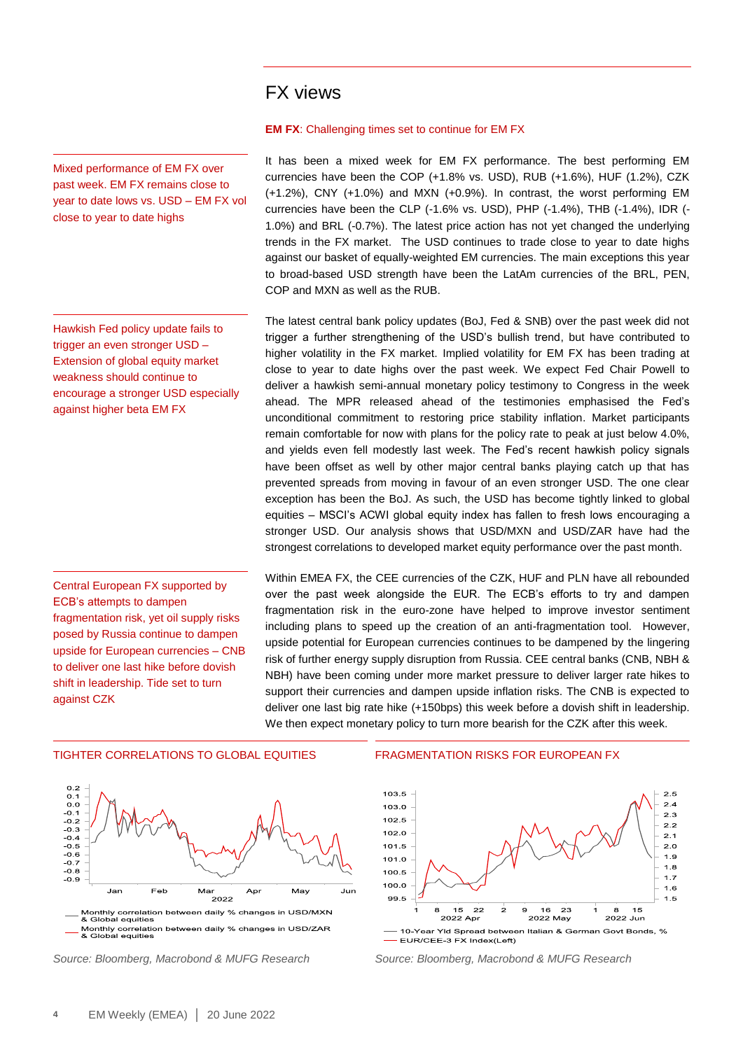### FX views

Mixed performance of EM FX over past week. EM FX remains close to year to date lows vs. USD – EM FX vol close to year to date highs

Hawkish Fed policy update fails to trigger an even stronger USD – Extension of global equity market weakness should continue to encourage a stronger USD especially against higher beta EM FX

Central European FX supported by ECB's attempts to dampen fragmentation risk, yet oil supply risks posed by Russia continue to dampen upside for European currencies – CNB to deliver one last hike before dovish shift in leadership. Tide set to turn against CZK

#### **EM FX**: Challenging times set to continue for EM FX

It has been a mixed week for EM FX performance. The best performing EM currencies have been the COP (+1.8% vs. USD), RUB (+1.6%), HUF (1.2%), CZK (+1.2%), CNY (+1.0%) and MXN (+0.9%). In contrast, the worst performing EM currencies have been the CLP (-1.6% vs. USD), PHP (-1.4%), THB (-1.4%), IDR (- 1.0%) and BRL (-0.7%). The latest price action has not yet changed the underlying trends in the FX market. The USD continues to trade close to year to date highs against our basket of equally-weighted EM currencies. The main exceptions this year to broad-based USD strength have been the LatAm currencies of the BRL, PEN, COP and MXN as well as the RUB.

The latest central bank policy updates (BoJ, Fed & SNB) over the past week did not trigger a further strengthening of the USD's bullish trend, but have contributed to higher volatility in the FX market. Implied volatility for EM FX has been trading at close to year to date highs over the past week. We expect Fed Chair Powell to deliver a hawkish semi-annual monetary policy testimony to Congress in the week ahead. The MPR released ahead of the testimonies emphasised the Fed's unconditional commitment to restoring price stability inflation. Market participants remain comfortable for now with plans for the policy rate to peak at just below 4.0%, and yields even fell modestly last week. The Fed's recent hawkish policy signals have been offset as well by other major central banks playing catch up that has prevented spreads from moving in favour of an even stronger USD. The one clear exception has been the BoJ. As such, the USD has become tightly linked to global equities – MSCI's ACWI global equity index has fallen to fresh lows encouraging a stronger USD. Our analysis shows that USD/MXN and USD/ZAR have had the strongest correlations to developed market equity performance over the past month.

Within EMEA FX, the CEE currencies of the CZK, HUF and PLN have all rebounded over the past week alongside the EUR. The ECB's efforts to try and dampen fragmentation risk in the euro-zone have helped to improve investor sentiment including plans to speed up the creation of an anti-fragmentation tool. However, upside potential for European currencies continues to be dampened by the lingering risk of further energy supply disruption from Russia. CEE central banks (CNB, NBH & NBH) have been coming under more market pressure to deliver larger rate hikes to support their currencies and dampen upside inflation risks. The CNB is expected to deliver one last big rate hike (+150bps) this week before a dovish shift in leadership. We then expect monetary policy to turn more bearish for the CZK after this week.



*Source: Bloomberg, Macrobond & MUFG Research Source: Bloomberg, Macrobond & MUFG Research*

#### TIGHTER CORRELATIONS TO GLOBAL EQUITIES FRAGMENTATION RISKS FOR EUROPEAN FX

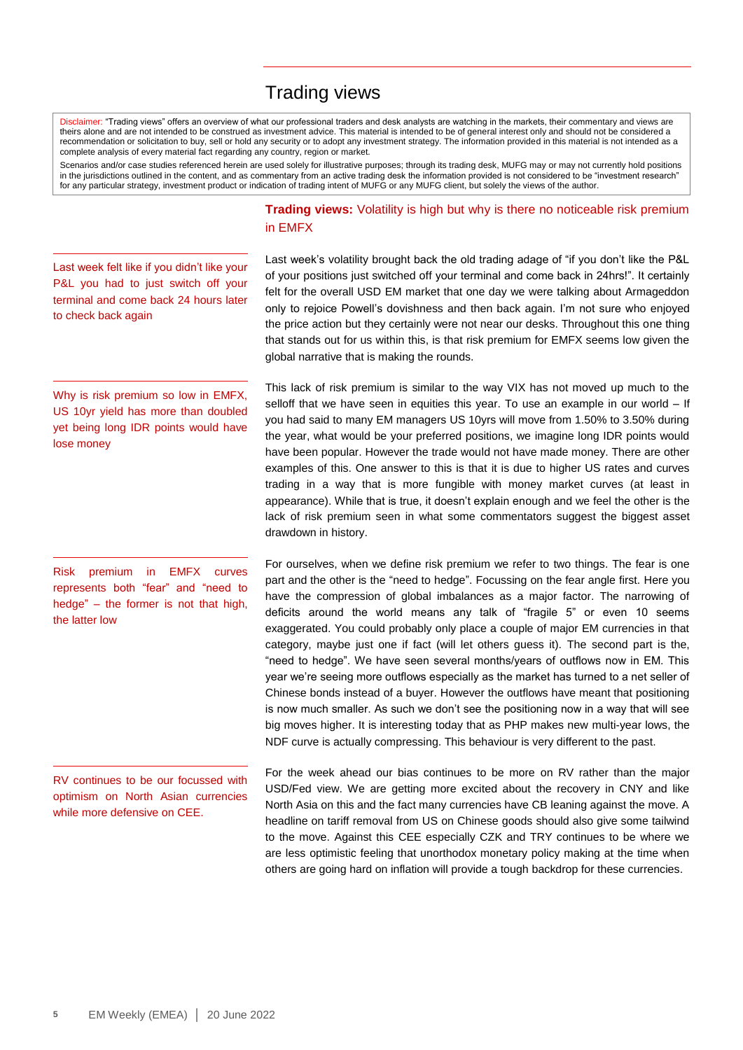### Trading views

Disclaimer: "Trading views" offers an overview of what our professional traders and desk analysts are watching in the markets, their commentary and views are theirs alone and are not intended to be construed as investment advice. This material is intended to be of general interest only and should not be considered a recommendation or solicitation to buy, sell or hold any security or to adopt any investment strategy. The information provided in this material is not intended as a complete analysis of every material fact regarding any country, region or market.

Scenarios and/or case studies referenced herein are used solely for illustrative purposes; through its trading desk, MUFG may or may not currently hold positions in the jurisdictions outlined in the content, and as commentary from an active trading desk the information provided is not considered to be "investment research" for any particular strategy, investment product or indication of trading intent of MUFG or any MUFG client, but solely the views of the author.

Last week felt like if you didn't like your P&L you had to just switch off your terminal and come back 24 hours later to check back again

Why is risk premium so low in EMFX. US 10yr yield has more than doubled yet being long IDR points would have lose money

Risk premium in EMFX curves represents both "fear" and "need to hedge" – the former is not that high, the latter low

RV continues to be our focussed with optimism on North Asian currencies while more defensive on CEE.

**Trading views:** Volatility is high but why is there no noticeable risk premium in EMFX

Last week's volatility brought back the old trading adage of "if you don't like the P&L of your positions just switched off your terminal and come back in 24hrs!". It certainly felt for the overall USD EM market that one day we were talking about Armageddon only to rejoice Powell's dovishness and then back again. I'm not sure who enjoyed the price action but they certainly were not near our desks. Throughout this one thing that stands out for us within this, is that risk premium for EMFX seems low given the global narrative that is making the rounds.

This lack of risk premium is similar to the way VIX has not moved up much to the selloff that we have seen in equities this year. To use an example in our world - If you had said to many EM managers US 10yrs will move from 1.50% to 3.50% during the year, what would be your preferred positions, we imagine long IDR points would have been popular. However the trade would not have made money. There are other examples of this. One answer to this is that it is due to higher US rates and curves trading in a way that is more fungible with money market curves (at least in appearance). While that is true, it doesn't explain enough and we feel the other is the lack of risk premium seen in what some commentators suggest the biggest asset drawdown in history.

For ourselves, when we define risk premium we refer to two things. The fear is one part and the other is the "need to hedge". Focussing on the fear angle first. Here you have the compression of global imbalances as a major factor. The narrowing of deficits around the world means any talk of "fragile 5" or even 10 seems exaggerated. You could probably only place a couple of major EM currencies in that category, maybe just one if fact (will let others guess it). The second part is the, "need to hedge". We have seen several months/years of outflows now in EM. This year we're seeing more outflows especially as the market has turned to a net seller of Chinese bonds instead of a buyer. However the outflows have meant that positioning is now much smaller. As such we don't see the positioning now in a way that will see big moves higher. It is interesting today that as PHP makes new multi-year lows, the NDF curve is actually compressing. This behaviour is very different to the past.

For the week ahead our bias continues to be more on RV rather than the major USD/Fed view. We are getting more excited about the recovery in CNY and like North Asia on this and the fact many currencies have CB leaning against the move. A headline on tariff removal from US on Chinese goods should also give some tailwind to the move. Against this CEE especially CZK and TRY continues to be where we are less optimistic feeling that unorthodox monetary policy making at the time when others are going hard on inflation will provide a tough backdrop for these currencies.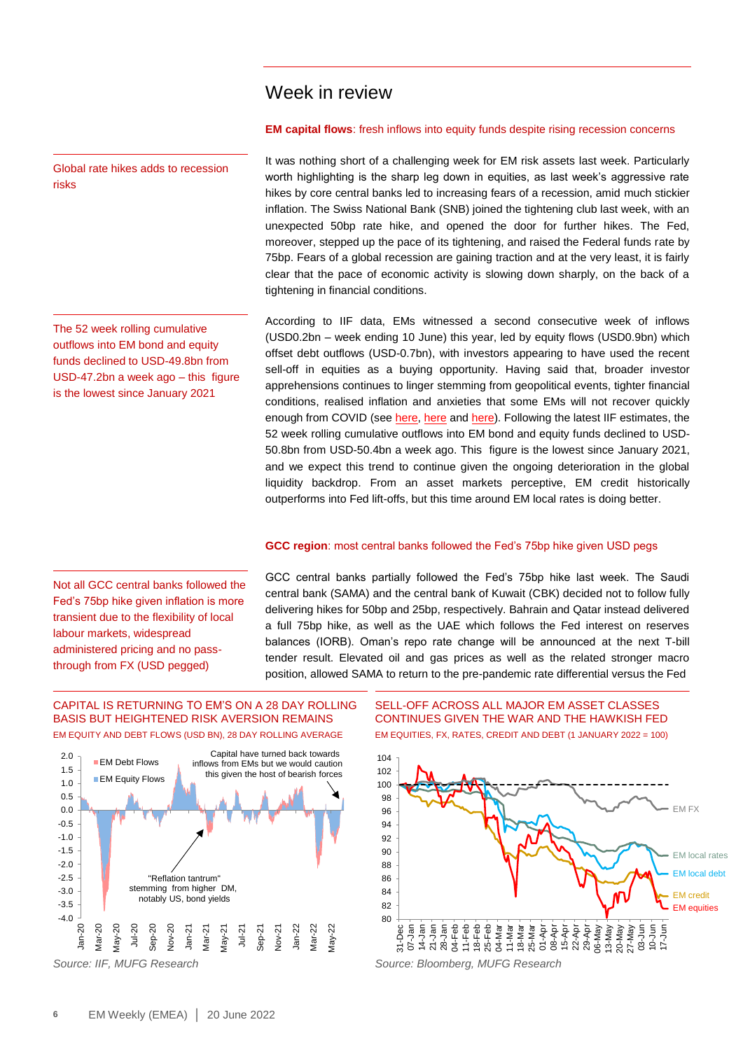### Week in review

#### **EM capital flows**: fresh inflows into equity funds despite rising recession concerns

It was nothing short of a challenging week for EM risk assets last week. Particularly worth highlighting is the sharp leg down in equities, as last week's aggressive rate hikes by core central banks led to increasing fears of a recession, amid much stickier inflation. The Swiss National Bank (SNB) joined the tightening club last week, with an unexpected 50bp rate hike, and opened the door for further hikes. The Fed, moreover, stepped up the pace of its tightening, and raised the Federal funds rate by 75bp. Fears of a global recession are gaining traction and at the very least, it is fairly clear that the pace of economic activity is slowing down sharply, on the back of a tightening in financial conditions.

According to IIF data, EMs witnessed a second consecutive week of inflows (USD0.2bn – week ending 10 June) this year, led by equity flows (USD0.9bn) which offset debt outflows (USD-0.7bn), with investors appearing to have used the recent sell-off in equities as a buying opportunity. Having said that, broader investor apprehensions continues to linger stemming from geopolitical events, tighter financial conditions, realised inflation and anxieties that some EMs will not recover quickly enough from COVID (see [here,](https://market-research.bk.mufg.jp/distribution/47115_ext_01_en_0.pdf) [here](https://market-research.bk.mufg.jp/distribution/47111_ext_01_en_0.pdf) and [here\)](https://market-research.bk.mufg.jp/distribution/47177_ext_01_en_0.pdf). Following the latest IIF estimates, the 52 week rolling cumulative outflows into EM bond and equity funds declined to USD-50.8bn from USD-50.4bn a week ago. This figure is the lowest since January 2021, and we expect this trend to continue given the ongoing deterioration in the global liquidity backdrop. From an asset markets perceptive, EM credit historically outperforms into Fed lift-offs, but this time around EM local rates is doing better.

#### **GCC region**: most central banks followed the Fed's 75bp hike given USD pegs

GCC central banks partially followed the Fed's 75bp hike last week. The Saudi central bank (SAMA) and the central bank of Kuwait (CBK) decided not to follow fully delivering hikes for 50bp and 25bp, respectively. Bahrain and Qatar instead delivered a full 75bp hike, as well as the UAE which follows the Fed interest on reserves balances (IORB). Oman's repo rate change will be announced at the next T-bill tender result. Elevated oil and gas prices as well as the related stronger macro position, allowed SAMA to return to the pre-pandemic rate differential versus the Fed

#### CAPITAL IS RETURNING TO EM'S ON A 28 DAY ROLLING BASIS BUT HEIGHTENED RISK AVERSION REMAINS EM EQUITY AND DEBT FLOWS (USD BN), 28 DAY ROLLING AVERAGE



#### SELL-OFF ACROSS ALL MAJOR EM ASSET CLASSES CONTINUES GIVEN THE WAR AND THE HAWKISH FED EM EQUITIES, FX, RATES, CREDIT AND DEBT (1 JANUARY 2022 = 100)



Global rate hikes adds to recession risks

The 52 week rolling cumulative outflows into EM bond and equity funds declined to USD-49.8bn from USD-47.2bn a week ago – this figure is the lowest since January 2021

Not all GCC central banks followed the Fed's 75bp hike given inflation is more transient due to the flexibility of local

labour markets, widespread administered pricing and no passthrough from FX (USD pegged)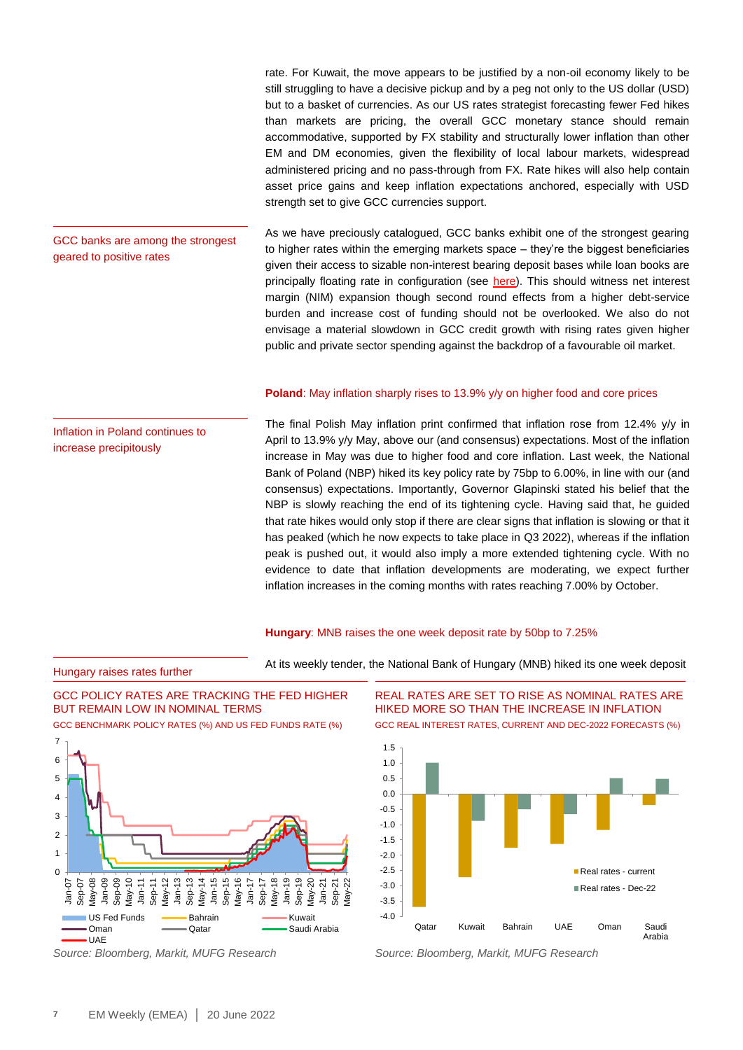rate. For Kuwait, the move appears to be justified by a non-oil economy likely to be still struggling to have a decisive pickup and by a peg not only to the US dollar (USD) but to a basket of currencies. As our US rates strategist forecasting fewer Fed hikes than markets are pricing, the overall GCC monetary stance should remain accommodative, supported by FX stability and structurally lower inflation than other EM and DM economies, given the flexibility of local labour markets, widespread administered pricing and no pass-through from FX. Rate hikes will also help contain asset price gains and keep inflation expectations anchored, especially with USD strength set to give GCC currencies support.

As we have preciously catalogued, GCC banks exhibit one of the strongest gearing to higher rates within the emerging markets space – they're the biggest beneficiaries given their access to sizable non-interest bearing deposit bases while loan books are principally floating rate in configuration (see [here\)](https://market-research.bk.mufg.jp/distribution/47661_ext_01_en_0.pdf). This should witness net interest margin (NIM) expansion though second round effects from a higher debt-service burden and increase cost of funding should not be overlooked. We also do not envisage a material slowdown in GCC credit growth with rising rates given higher public and private sector spending against the backdrop of a favourable oil market.

#### **Poland:** May inflation sharply rises to 13.9% y/y on higher food and core prices

The final Polish May inflation print confirmed that inflation rose from 12.4% y/y in April to 13.9% y/y May, above our (and consensus) expectations. Most of the inflation increase in May was due to higher food and core inflation. Last week, the National Bank of Poland (NBP) hiked its key policy rate by 75bp to 6.00%, in line with our (and consensus) expectations. Importantly, Governor Glapinski stated his belief that the NBP is slowly reaching the end of its tightening cycle. Having said that, he guided that rate hikes would only stop if there are clear signs that inflation is slowing or that it has peaked (which he now expects to take place in Q3 2022), whereas if the inflation peak is pushed out, it would also imply a more extended tightening cycle. With no evidence to date that inflation developments are moderating, we expect further inflation increases in the coming months with rates reaching 7.00% by October.

#### **Hungary**: MNB raises the one week deposit rate by 50bp to 7.25%

At its weekly tender, the National Bank of Hungary (MNB) hiked its one week deposit





REAL RATES ARE SET TO RISE AS NOMINAL RATES ARE HIKED MORE SO THAN THE INCREASE IN INFLATION

GCC REAL INTEREST RATES, CURRENT AND DEC-2022 FORECASTS (%)



*Source: Bloomberg, Markit, MUFG Research Source: Bloomberg, Markit, MUFG Research*

Inflation in Poland continues to increase precipitously

Hungary raises rates further

GCC banks are among the strongest

geared to positive rates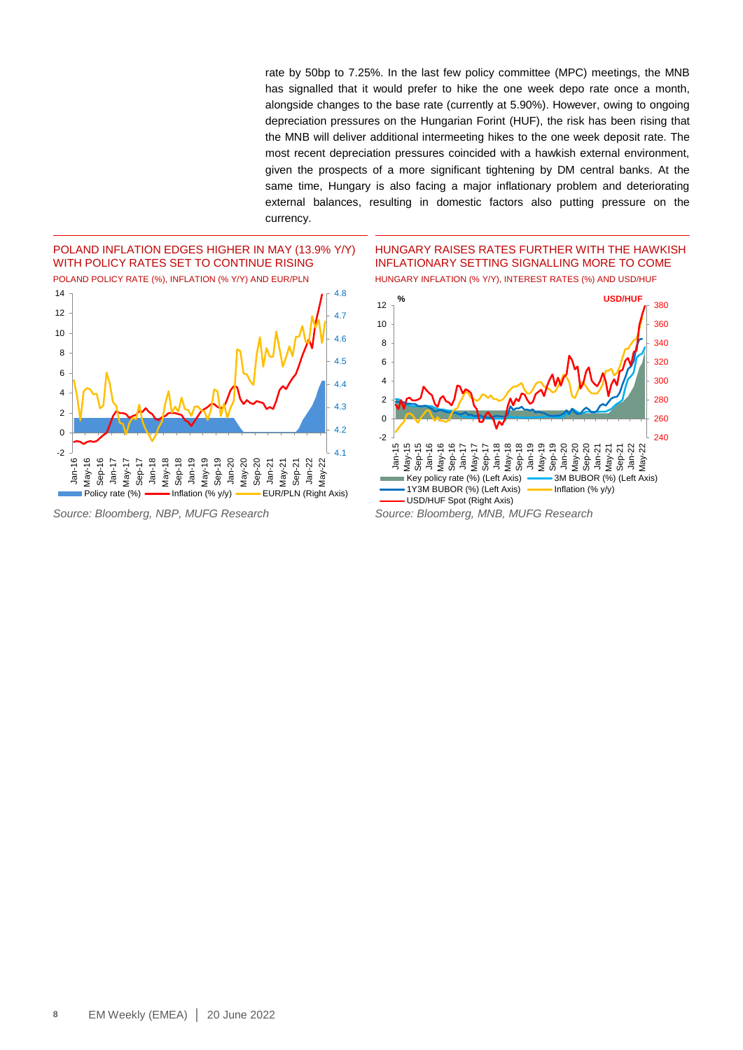rate by 50bp to 7.25%. In the last few policy committee (MPC) meetings, the MNB has signalled that it would prefer to hike the one week depo rate once a month, alongside changes to the base rate (currently at 5.90%). However, owing to ongoing depreciation pressures on the Hungarian Forint (HUF), the risk has been rising that the MNB will deliver additional intermeeting hikes to the one week deposit rate. The most recent depreciation pressures coincided with a hawkish external environment, given the prospects of a more significant tightening by DM central banks. At the same time, Hungary is also facing a major inflationary problem and deteriorating external balances, resulting in domestic factors also putting pressure on the currency.



HUNGARY RAISES RATES FURTHER WITH THE HAWKISH INFLATIONARY SETTING SIGNALLING MORE TO COME HUNGARY INFLATION (% Y/Y), INTEREST RATES (%) AND USD/HUF



*Source: Bloomberg, NBP, MUFG Research Source: Bloomberg, MNB, MUFG Research*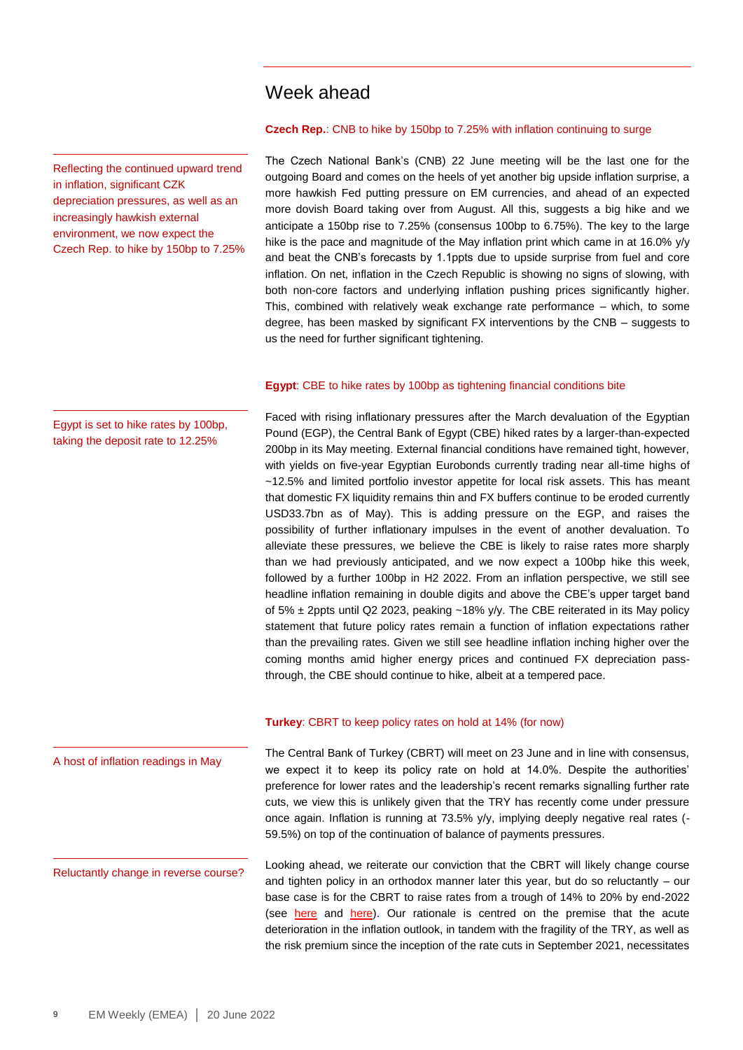### Week ahead

**Czech Rep.**: CNB to hike by 150bp to 7.25% with inflation continuing to surge

The Czech National Bank's (CNB) 22 June meeting will be the last one for the outgoing Board and comes on the heels of yet another big upside inflation surprise, a more hawkish Fed putting pressure on EM currencies, and ahead of an expected more dovish Board taking over from August. All this, suggests a big hike and we anticipate a 150bp rise to 7.25% (consensus 100bp to 6.75%). The key to the large hike is the pace and magnitude of the May inflation print which came in at 16.0% y/y and beat the CNB's forecasts by 1.1ppts due to upside surprise from fuel and core inflation. On net, inflation in the Czech Republic is showing no signs of slowing, with both non-core factors and underlying inflation pushing prices significantly higher. This, combined with relatively weak exchange rate performance – which, to some degree, has been masked by significant FX interventions by the CNB – suggests to us the need for further significant tightening.

#### **Egypt**: CBE to hike rates by 100bp as tightening financial conditions bite

Faced with rising inflationary pressures after the March devaluation of the Egyptian Pound (EGP), the Central Bank of Egypt (CBE) hiked rates by a larger-than-expected 200bp in its May meeting. External financial conditions have remained tight, however, with yields on five-year Egyptian Eurobonds currently trading near all-time highs of ~12.5% and limited portfolio investor appetite for local risk assets. This has meant that domestic FX liquidity remains thin and FX buffers continue to be eroded currently USD33.7bn as of May). This is adding pressure on the EGP, and raises the possibility of further inflationary impulses in the event of another devaluation. To alleviate these pressures, we believe the CBE is likely to raise rates more sharply than we had previously anticipated, and we now expect a 100bp hike this week, followed by a further 100bp in H2 2022. From an inflation perspective, we still see headline inflation remaining in double digits and above the CBE's upper target band of 5% ± 2ppts until Q2 2023, peaking ~18% y/y. The CBE reiterated in its May policy statement that future policy rates remain a function of inflation expectations rather than the prevailing rates. Given we still see headline inflation inching higher over the coming months amid higher energy prices and continued FX depreciation passthrough, the CBE should continue to hike, albeit at a tempered pace.

#### **Turkey**: CBRT to keep policy rates on hold at 14% (for now)

The Central Bank of Turkey (CBRT) will meet on 23 June and in line with consensus, we expect it to keep its policy rate on hold at 14.0%. Despite the authorities' preference for lower rates and the leadership's recent remarks signalling further rate cuts, we view this is unlikely given that the TRY has recently come under pressure once again. Inflation is running at 73.5% y/y, implying deeply negative real rates (- 59.5%) on top of the continuation of balance of payments pressures.

Looking ahead, we reiterate our conviction that the CBRT will likely change course and tighten policy in an orthodox manner later this year, but do so reluctantly – our base case is for the CBRT to raise rates from a trough of 14% to 20% by end-2022 (see [here](https://market-research.bk.mufg.jp/distribution/47237_ext_01_en_0.pdf) and [here\)](https://market-research.bk.mufg.jp/distribution/46781_ext_01_en_0.pdf). Our rationale is centred on the premise that the acute deterioration in the inflation outlook, in tandem with the fragility of the TRY, as well as the risk premium since the inception of the rate cuts in September 2021, necessitates

Egypt is set to hike rates by 100bp, taking the deposit rate to 12.25%

Reflecting the continued upward trend

depreciation pressures, as well as an

in inflation, significant CZK

increasingly hawkish external environment, we now expect the Czech Rep. to hike by 150bp to 7.25%

A host of inflation readings in May

Reluctantly change in reverse course?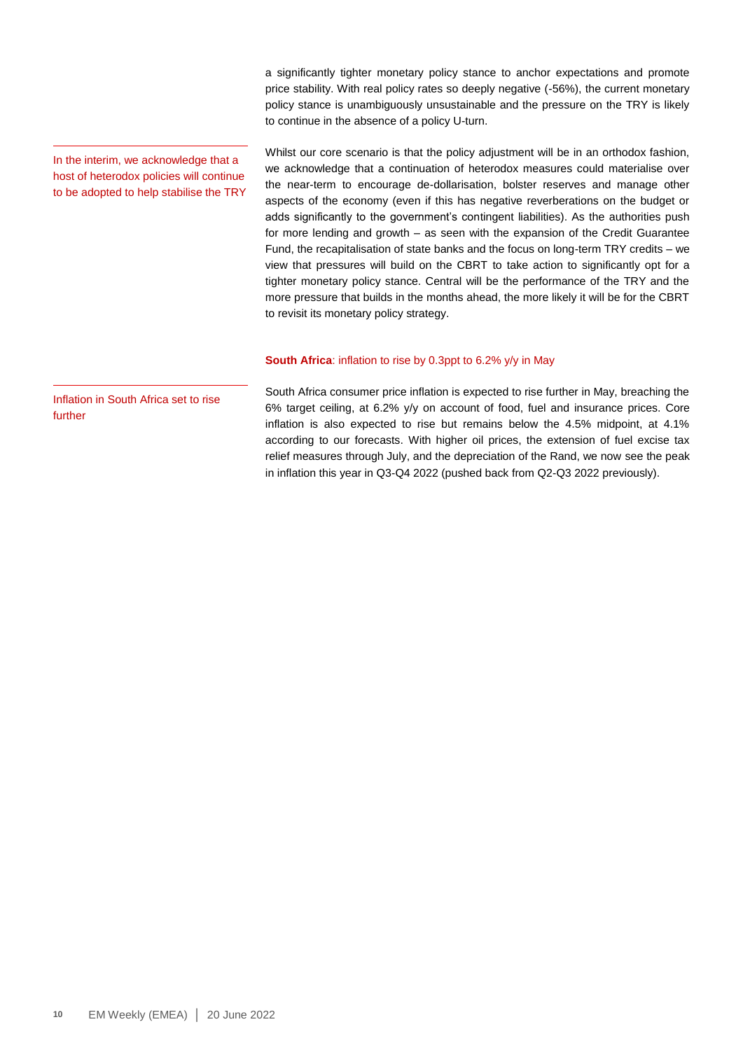a significantly tighter monetary policy stance to anchor expectations and promote price stability. With real policy rates so deeply negative (-56%), the current monetary policy stance is unambiguously unsustainable and the pressure on the TRY is likely to continue in the absence of a policy U-turn.

In the interim, we acknowledge that a host of heterodox policies will continue to be adopted to help stabilise the TRY Whilst our core scenario is that the policy adjustment will be in an orthodox fashion, we acknowledge that a continuation of heterodox measures could materialise over the near-term to encourage de-dollarisation, bolster reserves and manage other aspects of the economy (even if this has negative reverberations on the budget or adds significantly to the government's contingent liabilities). As the authorities push for more lending and growth – as seen with the expansion of the Credit Guarantee Fund, the recapitalisation of state banks and the focus on long-term TRY credits – we view that pressures will build on the CBRT to take action to significantly opt for a tighter monetary policy stance. Central will be the performance of the TRY and the more pressure that builds in the months ahead, the more likely it will be for the CBRT to revisit its monetary policy strategy.

#### **South Africa**: inflation to rise by 0.3ppt to 6.2% y/y in May

Inflation in South Africa set to rise further

South Africa consumer price inflation is expected to rise further in May, breaching the 6% target ceiling, at 6.2% y/y on account of food, fuel and insurance prices. Core inflation is also expected to rise but remains below the 4.5% midpoint, at 4.1% according to our forecasts. With higher oil prices, the extension of fuel excise tax relief measures through July, and the depreciation of the Rand, we now see the peak in inflation this year in Q3-Q4 2022 (pushed back from Q2-Q3 2022 previously).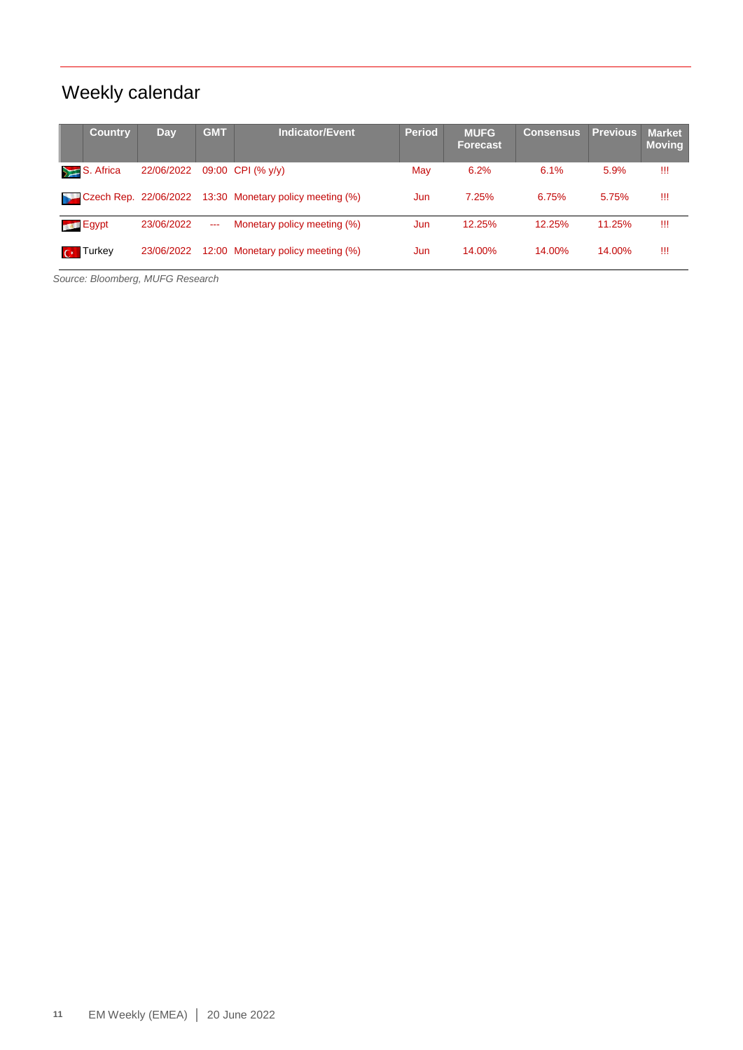# Weekly calendar

| <b>Country</b>         | Day        | <b>GMT</b> | Indicator/Event                   | <b>Period</b> | <b>MUFG</b><br><b>Forecast</b> | <b>Consensus</b> | <b>Previous</b> | <b>Market</b><br><b>Moving</b> |
|------------------------|------------|------------|-----------------------------------|---------------|--------------------------------|------------------|-----------------|--------------------------------|
| S. Africa              | 22/06/2022 |            | 09:00 CPI (% y/y)                 | May           | 6.2%                           | 6.1%             | 5.9%            | Ш                              |
| Czech Rep. 22/06/2022  |            |            | 13:30 Monetary policy meeting (%) | Jun           | 7.25%                          | 6.75%            | 5.75%           | Ш                              |
| <b>Egypt</b>           | 23/06/2022 | $- - -$    | Monetary policy meeting (%)       | Jun           | 12.25%                         | 12.25%           | 11.25%          | Ш                              |
| <b>Turkey</b><br>$C^*$ | 23/06/2022 |            | 12:00 Monetary policy meeting (%) | Jun           | 14.00%                         | 14.00%           | 14.00%          | Ш                              |

*Source: Bloomberg, MUFG Research*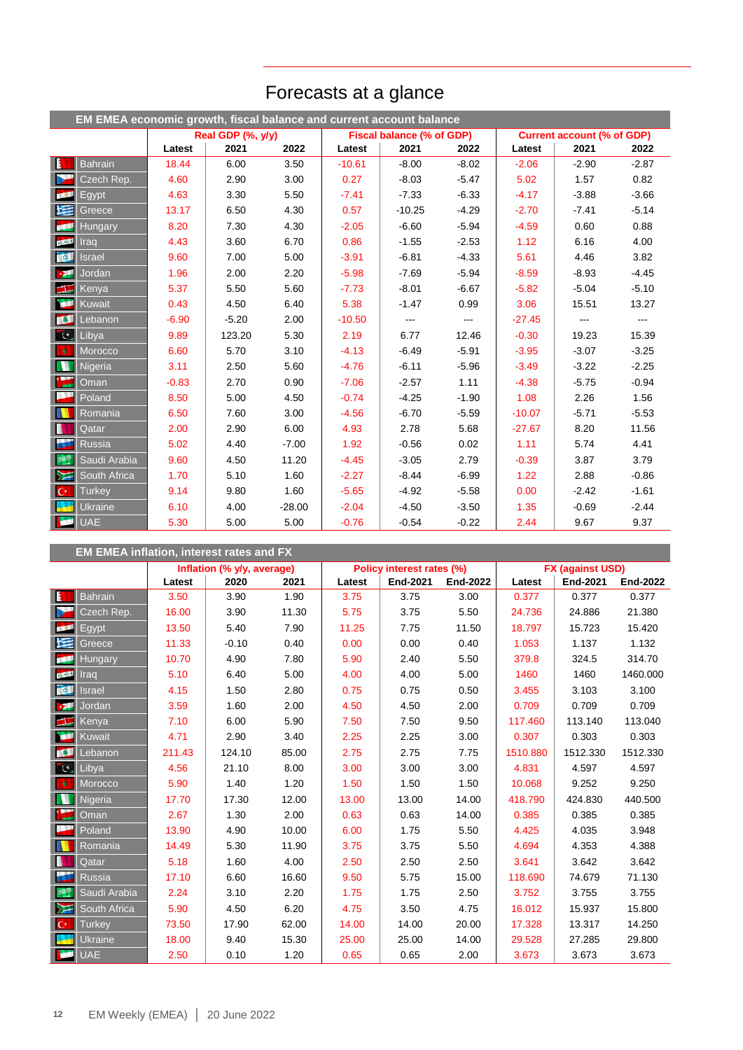|                  | EM EMEA economic growth, fiscal balance and current account balance |         |                   |          |          |                           |               |                                   |                   |         |  |  |
|------------------|---------------------------------------------------------------------|---------|-------------------|----------|----------|---------------------------|---------------|-----------------------------------|-------------------|---------|--|--|
|                  |                                                                     |         | Real GDP (%, y/y) |          |          | Fiscal balance (% of GDP) |               | <b>Current account (% of GDP)</b> |                   |         |  |  |
|                  |                                                                     | Latest  | 2021              | 2022     | Latest   | 2021                      | 2022          | Latest                            | 2021              | 2022    |  |  |
| $\mathbf{E}$     | <b>Bahrain</b>                                                      | 18.44   | 6.00              | 3.50     | $-10.61$ | $-8.00$                   | $-8.02$       | $-2.06$                           | $-2.90$           | $-2.87$ |  |  |
| ь                | Czech Rep.                                                          | 4.60    | 2.90              | 3.00     | 0.27     | $-8.03$                   | $-5.47$       | 5.02                              | 1.57              | 0.82    |  |  |
| <b>BOOT</b>      | Egypt                                                               | 4.63    | 3.30              | 5.50     | $-7.41$  | $-7.33$                   | $-6.33$       | $-4.17$                           | $-3.88$           | $-3.66$ |  |  |
| 医                | Greece                                                              | 13.17   | 6.50              | 4.30     | 0.57     | $-10.25$                  | $-4.29$       | $-2.70$                           | $-7.41$           | $-5.14$ |  |  |
| k۴               | <b>Hungary</b>                                                      | 8.20    | 7.30              | 4.30     | $-2.05$  | $-6.60$                   | $-5.94$       | $-4.59$                           | 0.60              | 0.88    |  |  |
| <b>COLOR</b>     | Irad                                                                | 4.43    | 3.60              | 6.70     | 0.86     | $-1.55$                   | $-2.53$       | 1.12                              | 6.16              | 4.00    |  |  |
| $\alpha$         | <b>Israel</b>                                                       | 9.60    | 7.00              | 5.00     | $-3.91$  | $-6.81$                   | $-4.33$       | 5.61                              | 4.46              | 3.82    |  |  |
| $\mathbf{p}$     | Jordan                                                              | 1.96    | 2.00              | 2.20     | $-5.98$  | $-7.69$                   | $-5.94$       | $-8.59$                           | $-8.93$           | $-4.45$ |  |  |
| $\blacksquare$   | Kenya                                                               | 5.37    | 5.50              | 5.60     | $-7.73$  | $-8.01$                   | $-6.67$       | $-5.82$                           | $-5.04$           | $-5.10$ |  |  |
| Œ                | Kuwait                                                              | 0.43    | 4.50              | 6.40     | 5.38     | $-1.47$                   | 0.99          | 3.06                              | 15.51             | 13.27   |  |  |
| <b>BSE</b>       | Lebanon                                                             | $-6.90$ | $-5.20$           | 2.00     | $-10.50$ | ---                       | $\frac{1}{2}$ | $-27.45$                          | $\qquad \qquad -$ | ---     |  |  |
| CC               | Libya                                                               | 9.89    | 123.20            | 5.30     | 2.19     | 6.77                      | 12.46         | $-0.30$                           | 19.23             | 15.39   |  |  |
| 女                | Morocco                                                             | 6.60    | 5.70              | 3.10     | $-4.13$  | $-6.49$                   | $-5.91$       | $-3.95$                           | $-3.07$           | $-3.25$ |  |  |
| N                | Nigeria                                                             | 3.11    | 2.50              | 5.60     | $-4.76$  | $-6.11$                   | $-5.96$       | $-3.49$                           | $-3.22$           | $-2.25$ |  |  |
| $\sum_{i=1}^{k}$ | Oman                                                                | $-0.83$ | 2.70              | 0.90     | $-7.06$  | $-2.57$                   | 1.11          | $-4.38$                           | $-5.75$           | $-0.94$ |  |  |
| ▄                | Poland                                                              | 8.50    | 5.00              | 4.50     | $-0.74$  | $-4.25$                   | $-1.90$       | 1.08                              | 2.26              | 1.56    |  |  |
| N                | Romania                                                             | 6.50    | 7.60              | 3.00     | $-4.56$  | $-6.70$                   | $-5.59$       | $-10.07$                          | $-5.71$           | $-5.53$ |  |  |
| B                | Qatar                                                               | 2.00    | 2.90              | 6.00     | 4.93     | 2.78                      | 5.68          | $-27.67$                          | 8.20              | 11.56   |  |  |
| a.               | <b>Russia</b>                                                       | 5.02    | 4.40              | $-7.00$  | 1.92     | $-0.56$                   | 0.02          | 1.11                              | 5.74              | 4.41    |  |  |
| 舞                | Saudi Arabia                                                        | 9.60    | 4.50              | 11.20    | $-4.45$  | $-3.05$                   | 2.79          | $-0.39$                           | 3.87              | 3.79    |  |  |
| $\sum$           | South Africa                                                        | 1.70    | 5.10              | 1.60     | $-2.27$  | $-8.44$                   | $-6.99$       | 1.22                              | 2.88              | $-0.86$ |  |  |
| $ C^* $          | <b>Turkey</b>                                                       | 9.14    | 9.80              | 1.60     | $-5.65$  | $-4.92$                   | $-5.58$       | 0.00                              | $-2.42$           | $-1.61$ |  |  |
| e de la          | Ukraine                                                             | 6.10    | 4.00              | $-28.00$ | $-2.04$  | $-4.50$                   | $-3.50$       | 1.35                              | $-0.69$           | $-2.44$ |  |  |
| اقي              | <b>UAE</b>                                                          | 5.30    | 5.00              | 5.00     | $-0.76$  | $-0.54$                   | $-0.22$       | 2.44                              | 9.67              | 9.37    |  |  |

# Forecasts at a glance

|                         | <b>EM EMEA inflation, interest rates and FX</b> |        |                            |       |        |                           |                 |                         |                 |          |  |  |
|-------------------------|-------------------------------------------------|--------|----------------------------|-------|--------|---------------------------|-----------------|-------------------------|-----------------|----------|--|--|
|                         |                                                 |        | Inflation (% y/y, average) |       |        | Policy interest rates (%) |                 | <b>FX (against USD)</b> |                 |          |  |  |
|                         |                                                 | Latest | 2020                       | 2021  | Latest | <b>End-2021</b>           | <b>End-2022</b> | Latest                  | <b>End-2021</b> | End-2022 |  |  |
| $\mathbf{E}$            | <b>Bahrain</b>                                  | 3.50   | 3.90                       | 1.90  | 3.75   | 3.75                      | 3.00            | 0.377                   | 0.377           | 0.377    |  |  |
| Þ                       | Czech Rep.                                      | 16.00  | 3.90                       | 11.30 | 5.75   | 3.75                      | 5.50            | 24.736                  | 24.886          | 21.380   |  |  |
| <b>DEC</b>              | Egypt                                           | 13.50  | 5.40                       | 7.90  | 11.25  | 7.75                      | 11.50           | 18.797                  | 15.723          | 15.420   |  |  |
| 埕                       | Greece                                          | 11.33  | $-0.10$                    | 0.40  | 0.00   | 0.00                      | 0.40            | 1.053                   | 1.137           | 1.132    |  |  |
| œ                       | <b>Hungary</b>                                  | 10.70  | 4.90                       | 7.80  | 5.90   | 2.40                      | 5.50            | 379.8                   | 324.5           | 314.70   |  |  |
| <b>CARD IN</b>          | Irad                                            | 5.10   | 6.40                       | 5.00  | 4.00   | 4.00                      | 5.00            | 1460                    | 1460            | 1460.000 |  |  |
| $\alpha$                | <b>Israel</b>                                   | 4.15   | 1.50                       | 2.80  | 0.75   | 0.75                      | 0.50            | 3.455                   | 3.103           | 3.100    |  |  |
| ы                       | Jordan                                          | 3.59   | 1.60                       | 2.00  | 4.50   | 4.50                      | 2.00            | 0.709                   | 0.709           | 0.709    |  |  |
| $\blacksquare$          | Kenya                                           | 7.10   | 6.00                       | 5.90  | 7.50   | 7.50                      | 9.50            | 117.460                 | 113.140         | 113.040  |  |  |
| œ                       | Kuwait                                          | 4.71   | 2.90                       | 3.40  | 2.25   | 2.25                      | 3.00            | 0.307                   | 0.303           | 0.303    |  |  |
| <b>ISSUED</b>           | Lebanon                                         | 211.43 | 124.10                     | 85.00 | 2.75   | 2.75                      | 7.75            | 1510.880                | 1512.330        | 1512.330 |  |  |
| $\overline{\mathbf{c}}$ | Libya                                           | 4.56   | 21.10                      | 8.00  | 3.00   | 3.00                      | 3.00            | 4.831                   | 4.597           | 4.597    |  |  |
| 一女                      | Morocco                                         | 5.90   | 1.40                       | 1.20  | 1.50   | 1.50                      | 1.50            | 10.068                  | 9.252           | 9.250    |  |  |
| W                       | Nigeria                                         | 17.70  | 17.30                      | 12.00 | 13.00  | 13.00                     | 14.00           | 418.790                 | 424.830         | 440.500  |  |  |
|                         | Oman                                            | 2.67   | 1.30                       | 2.00  | 0.63   | 0.63                      | 14.00           | 0.385                   | 0.385           | 0.385    |  |  |
|                         | Poland                                          | 13.90  | 4.90                       | 10.00 | 6.00   | 1.75                      | 5.50            | 4.425                   | 4.035           | 3.948    |  |  |
|                         | Romania                                         | 14.49  | 5.30                       | 11.90 | 3.75   | 3.75                      | 5.50            | 4.694                   | 4.353           | 4.388    |  |  |
| I                       | Qatar                                           | 5.18   | 1.60                       | 4.00  | 2.50   | 2.50                      | 2.50            | 3.641                   | 3.642           | 3.642    |  |  |
|                         | <b>Russia</b>                                   | 17.10  | 6.60                       | 16.60 | 9.50   | 5.75                      | 15.00           | 118.690                 | 74.679          | 71.130   |  |  |
| $35^{\circ}$            | Saudi Arabia                                    | 2.24   | 3.10                       | 2.20  | 1.75   | 1.75                      | 2.50            | 3.752                   | 3.755           | 3.755    |  |  |
| ┣⋝                      | South Africa                                    | 5.90   | 4.50                       | 6.20  | 4.75   | 3.50                      | 4.75            | 16.012                  | 15.937          | 15.800   |  |  |
| $\mathsf{C}^*$          | <b>Turkey</b>                                   | 73.50  | 17.90                      | 62.00 | 14.00  | 14.00                     | 20.00           | 17.328                  | 13.317          | 14.250   |  |  |
|                         | <b>Ukraine</b>                                  | 18.00  | 9.40                       | 15.30 | 25.00  | 25.00                     | 14.00           | 29.528                  | 27.285          | 29.800   |  |  |
| <b>Septiment</b>        | <b>UAE</b>                                      | 2.50   | 0.10                       | 1.20  | 0.65   | 0.65                      | 2.00            | 3.673                   | 3.673           | 3.673    |  |  |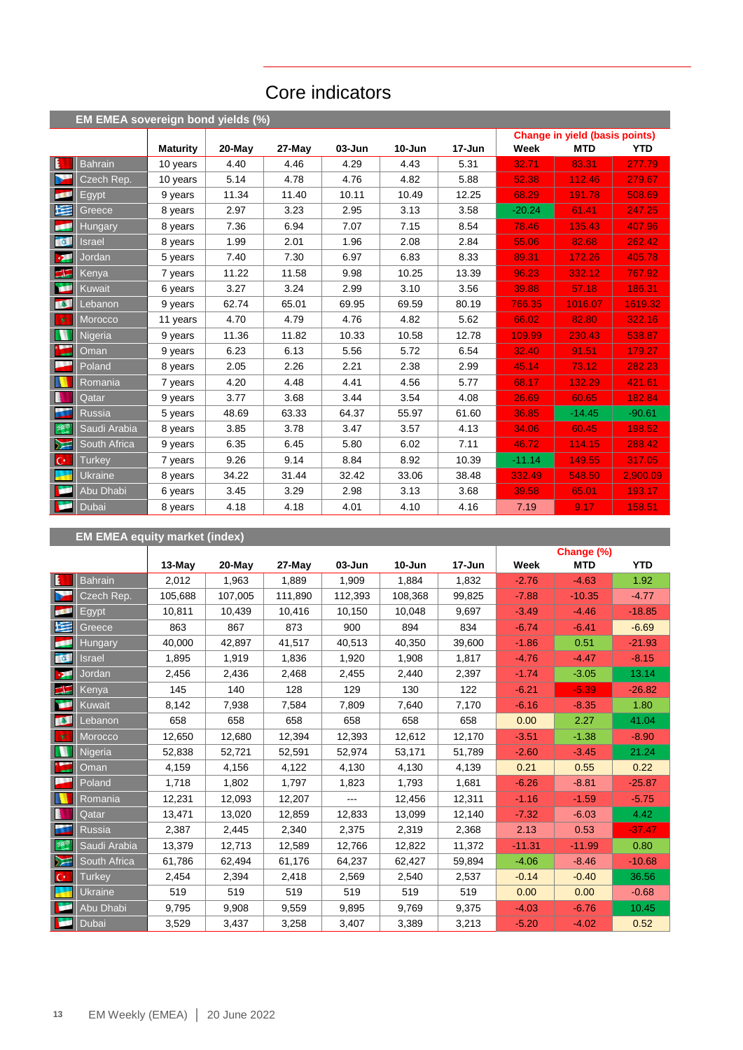# Core indicators

|                               | EM EMEA sovereign bond yields (%) |                 |           |        |            |            |        |          |                                       |            |
|-------------------------------|-----------------------------------|-----------------|-----------|--------|------------|------------|--------|----------|---------------------------------------|------------|
|                               |                                   |                 |           |        |            |            |        |          | <b>Change in yield (basis points)</b> |            |
|                               |                                   | <b>Maturity</b> | $20$ -May | 27-May | $03 - Jun$ | $10 - Jun$ | 17-Jun | Week     | <b>MTD</b>                            | <b>YTD</b> |
| Ŀ                             | <b>Bahrain</b>                    | 10 years        | 4.40      | 4.46   | 4.29       | 4.43       | 5.31   | 32.71    | 83.31                                 | 277.79     |
| b.                            | Czech Rep.                        | 10 years        | 5.14      | 4.78   | 4.76       | 4.82       | 5.88   | 52.38    | 112.46                                | 279.67     |
| <b>COL</b>                    | Egypt                             | 9 years         | 11.34     | 11.40  | 10.11      | 10.49      | 12.25  | 68.29    | 191.78                                | 508.69     |
| 医                             | Greece                            | 8 years         | 2.97      | 3.23   | 2.95       | 3.13       | 3.58   | $-20.24$ | 61.41                                 | 247.25     |
| p۴                            | <b>Hungary</b>                    | 8 years         | 7.36      | 6.94   | 7.07       | 7.15       | 8.54   | 78.46    | 135.43                                | 407.96     |
| <b>ON</b>                     | <b>Israel</b>                     | 8 years         | 1.99      | 2.01   | 1.96       | 2.08       | 2.84   | 55.06    | 82.68                                 | 262.42     |
| <b>DE</b>                     | Jordan                            | 5 years         | 7.40      | 7.30   | 6.97       | 6.83       | 8.33   | 89.31    | 172.26                                | 405.78     |
| $\blacktriangleleft$ $\equiv$ | Kenya                             | 7 years         | 11.22     | 11.58  | 9.98       | 10.25      | 13.39  | 96.23    | 332.12                                | 767.92     |
| <b>ISBN</b>                   | Kuwait                            | 6 years         | 3.27      | 3.24   | 2.99       | 3.10       | 3.56   | 39.88    | 57.18                                 | 186.31     |
| <b>TAL</b>                    | Lebanon                           | 9 years         | 62.74     | 65.01  | 69.95      | 69.59      | 80.19  | 766.35   | 1016.07                               | 1619.32    |
| 收                             | Morocco                           | 11 years        | 4.70      | 4.79   | 4.76       | 4.82       | 5.62   | 66.02    | 82.80                                 | 322.16     |
| N                             | <b>Nigeria</b>                    | 9 years         | 11.36     | 11.82  | 10.33      | 10.58      | 12.78  | 109.99   | 230.43                                | 538.87     |
| ۰.                            | Oman                              | 9 years         | 6.23      | 6.13   | 5.56       | 5.72       | 6.54   | 32.40    | 91.51                                 | 179.27     |
| ш                             | Poland                            | 8 years         | 2.05      | 2.26   | 2.21       | 2.38       | 2.99   | 45.14    | 73.12                                 | 282.23     |
|                               | Romania                           | 7 years         | 4.20      | 4.48   | 4.41       | 4.56       | 5.77   | 68.17    | 132.29                                | 421.61     |
| B                             | Qatar                             | 9 years         | 3.77      | 3.68   | 3.44       | 3.54       | 4.08   | 26.69    | 60.65                                 | 182.84     |
| <b>PS</b>                     | <b>Russia</b>                     | 5 years         | 48.69     | 63.33  | 64.37      | 55.97      | 61.60  | 36.85    | $-14.45$                              | $-90.61$   |
| 翠                             | Saudi Arabia                      | 8 years         | 3.85      | 3.78   | 3.47       | 3.57       | 4.13   | 34.06    | 60.45                                 | 198.52     |
| ⋝⋶                            | South Africa                      | 9 years         | 6.35      | 6.45   | 5.80       | 6.02       | 7.11   | 46.72    | 114.15                                | 288.42     |
| $ C^* $                       | <b>Turkey</b>                     | 7 years         | 9.26      | 9.14   | 8.84       | 8.92       | 10.39  | $-11.14$ | 149.55                                | 317.05     |
|                               | <b>Ukraine</b>                    | 8 years         | 34.22     | 31.44  | 32.42      | 33.06      | 38.48  | 332.49   | 548.50                                | 2,900.09   |
| <b>Text</b>                   | Abu Dhabi                         | 6 years         | 3.45      | 3.29   | 2.98       | 3.13       | 3.68   | 39.58    | 65.01                                 | 193.17     |
| w                             | Dubai                             | 8 years         | 4.18      | 4.18   | 4.01       | 4.10       | 4.16   | 7.19     | 9.17                                  | 158.51     |

## **EM EMEA equity market (index)**

|                       |                |          |         |         |         |         |        |          | Change (%) |            |
|-----------------------|----------------|----------|---------|---------|---------|---------|--------|----------|------------|------------|
|                       |                | $13-May$ | 20-May  | 27-May  | 03-Jun  | 10-Jun  | 17-Jun | Week     | <b>MTD</b> | <b>YTD</b> |
| E                     | <b>Bahrain</b> | 2,012    | 1,963   | 1,889   | 1,909   | 1,884   | 1,832  | $-2.76$  | $-4.63$    | 1.92       |
| Y                     | Czech Rep.     | 105,688  | 107,005 | 111,890 | 112,393 | 108,368 | 99,825 | $-7.88$  | $-10.35$   | $-4.77$    |
| <b>COL</b>            | Egypt          | 10,811   | 10,439  | 10,416  | 10,150  | 10,048  | 9,697  | $-3.49$  | $-4.46$    | $-18.85$   |
| 墿                     | Greece         | 863      | 867     | 873     | 900     | 894     | 834    | $-6.74$  | $-6.41$    | $-6.69$    |
| pa 1                  | <b>Hungary</b> | 40,000   | 42,897  | 41,517  | 40,513  | 40,350  | 39,600 | $-1.86$  | 0.51       | $-21.93$   |
| <b>Total</b>          | Israel         | 1,895    | 1,919   | 1,836   | 1,920   | 1,908   | 1,817  | $-4.76$  | $-4.47$    | $-8.15$    |
| $\mathcal{P}^{\perp}$ | Jordan         | 2,456    | 2,436   | 2,468   | 2,455   | 2,440   | 2,397  | $-1.74$  | $-3.05$    | 13.14      |
| $\frac{1}{2}$         | Kenya          | 145      | 140     | 128     | 129     | 130     | 122    | $-6.21$  | $-5.39$    | $-26.82$   |
| À                     | Kuwait         | 8,142    | 7,938   | 7,584   | 7,809   | 7,640   | 7,170  | $-6.16$  | $-8.35$    | 1.80       |
| <b>ALC</b>            | Lebanon        | 658      | 658     | 658     | 658     | 658     | 658    | 0.00     | 2.27       | 41.04      |
| 女                     | Morocco        | 12,650   | 12,680  | 12,394  | 12,393  | 12,612  | 12,170 | $-3.51$  | $-1.38$    | $-8.90$    |
| n                     | Nigeria        | 52,838   | 52,721  | 52,591  | 52,974  | 53,171  | 51,789 | $-2.60$  | $-3.45$    | 21.24      |
| $\sum_{i=1}^{n}$      | Oman           | 4,159    | 4,156   | 4,122   | 4,130   | 4,130   | 4,139  | 0.21     | 0.55       | 0.22       |
| l,                    | Poland         | 1,718    | 1,802   | 1,797   | 1,823   | 1,793   | 1,681  | $-6.26$  | $-8.81$    | $-25.87$   |
|                       | Romania        | 12,231   | 12,093  | 12,207  | ---     | 12,456  | 12,311 | $-1.16$  | $-1.59$    | $-5.75$    |
| B                     | Qatar          | 13,471   | 13,020  | 12,859  | 12,833  | 13,099  | 12,140 | $-7.32$  | $-6.03$    | 4.42       |
| ł,                    | <b>Russia</b>  | 2,387    | 2,445   | 2,340   | 2,375   | 2,319   | 2,368  | 2.13     | 0.53       | $-37.47$   |
| 選                     | Saudi Arabia   | 13,379   | 12,713  | 12,589  | 12,766  | 12,822  | 11,372 | $-11.31$ | $-11.99$   | 0.80       |
| M                     | South Africa   | 61,786   | 62,494  | 61,176  | 64,237  | 62,427  | 59,894 | $-4.06$  | $-8.46$    | $-10.68$   |
| $\mathbf{C}^*$        | <b>Turkey</b>  | 2,454    | 2,394   | 2,418   | 2,569   | 2,540   | 2,537  | $-0.14$  | $-0.40$    | 36.56      |
|                       | <b>Ukraine</b> | 519      | 519     | 519     | 519     | 519     | 519    | 0.00     | 0.00       | $-0.68$    |
| ×                     | Abu Dhabi      | 9,795    | 9,908   | 9,559   | 9,895   | 9,769   | 9,375  | $-4.03$  | $-6.76$    | 10.45      |
| ×                     | Dubai          | 3,529    | 3,437   | 3,258   | 3,407   | 3,389   | 3,213  | $-5.20$  | $-4.02$    | 0.52       |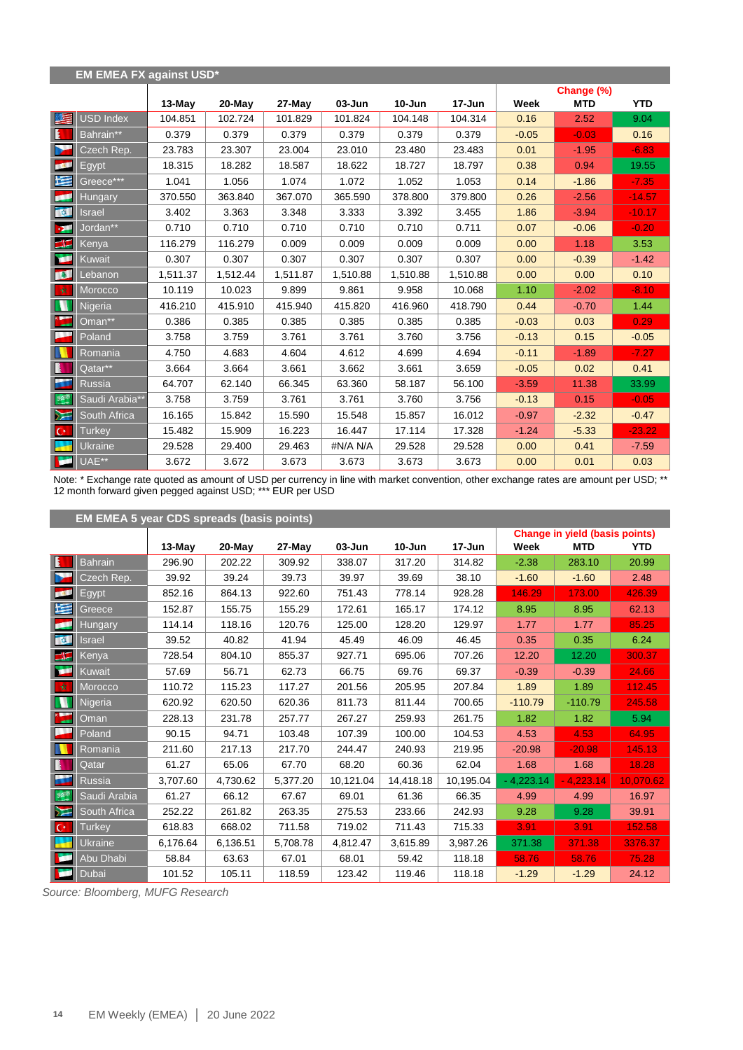|                  | <b>EM EMEA FX against USD*</b> |          |           |          |          |            |          |         |            |            |
|------------------|--------------------------------|----------|-----------|----------|----------|------------|----------|---------|------------|------------|
|                  |                                |          |           |          |          |            |          |         | Change (%) |            |
|                  |                                | 13-May   | $20$ -May | 27-May   | 03-Jun   | $10 - Jun$ | 17-Jun   | Week    | <b>MTD</b> | <b>YTD</b> |
| 医                | USD Index                      | 104.851  | 102.724   | 101.829  | 101.824  | 104.148    | 104.314  | 0.16    | 2.52       | 9.04       |
| E                | Bahrain**                      | 0.379    | 0.379     | 0.379    | 0.379    | 0.379      | 0.379    | $-0.05$ | $-0.03$    | 0.16       |
| ×                | Czech Rep.                     | 23.783   | 23.307    | 23.004   | 23.010   | 23.480     | 23.483   | 0.01    | $-1.95$    | $-6.83$    |
| <b>BRA</b>       | Egypt                          | 18.315   | 18.282    | 18.587   | 18.622   | 18.727     | 18.797   | 0.38    | 0.94       | 19.55      |
| N                | Greece***                      | 1.041    | 1.056     | 1.074    | 1.072    | 1.052      | 1.053    | 0.14    | $-1.86$    | $-7.35$    |
| للجم             | <b>Hungary</b>                 | 370.550  | 363.840   | 367.070  | 365.590  | 378.800    | 379.800  | 0.26    | $-2.56$    | $-14.57$   |
| <b>REA</b>       | Israel                         | 3.402    | 3.363     | 3.348    | 3.333    | 3.392      | 3.455    | 1.86    | $-3.94$    | $-10.17$   |
| -94              | Jordan**                       | 0.710    | 0.710     | 0.710    | 0.710    | 0.710      | 0.711    | 0.07    | $-0.06$    | $-0.20$    |
| $\blacktriangle$ | <b>Kenya</b>                   | 116.279  | 116.279   | 0.009    | 0.009    | 0.009      | 0.009    | 0.00    | 1.18       | 3.53       |
| œ                | Kuwait                         | 0.307    | 0.307     | 0.307    | 0.307    | 0.307      | 0.307    | 0.00    | $-0.39$    | $-1.42$    |
| <b>INST</b>      | Lebanon                        | 1,511.37 | 1,512.44  | 1,511.87 | 1,510.88 | 1,510.88   | 1,510.88 | 0.00    | 0.00       | 0.10       |
| 敦                | Morocco                        | 10.119   | 10.023    | 9.899    | 9.861    | 9.958      | 10.068   | 1.10    | $-2.02$    | $-8.10$    |
| M                | Nigeria                        | 416.210  | 415.910   | 415.940  | 415.820  | 416.960    | 418.790  | 0.44    | $-0.70$    | 1.44       |
| <b>KLA</b>       | Oman**                         | 0.386    | 0.385     | 0.385    | 0.385    | 0.385      | 0.385    | $-0.03$ | 0.03       | 0.29       |
| l,               | Poland                         | 3.758    | 3.759     | 3.761    | 3.761    | 3.760      | 3.756    | $-0.13$ | 0.15       | $-0.05$    |
|                  | Romania                        | 4.750    | 4.683     | 4.604    | 4.612    | 4.699      | 4.694    | $-0.11$ | $-1.89$    | $-7.27$    |
| N                | Qatar**                        | 3.664    | 3.664     | 3.661    | 3.662    | 3.661      | 3.659    | $-0.05$ | 0.02       | 0.41       |
| š.               | <b>Russia</b>                  | 64.707   | 62.140    | 66.345   | 63.360   | 58.187     | 56.100   | $-3.59$ | 11.38      | 33.99      |
| 選                | Saudi Arabia**                 | 3.758    | 3.759     | 3.761    | 3.761    | 3.760      | 3.756    | $-0.13$ | 0.15       | $-0.05$    |
| $\sum$           | South Africa                   | 16.165   | 15.842    | 15.590   | 15.548   | 15.857     | 16.012   | $-0.97$ | $-2.32$    | $-0.47$    |
| $\mathbf{C}^*$   | <b>Turkey</b>                  | 15.482   | 15.909    | 16.223   | 16.447   | 17.114     | 17.328   | $-1.24$ | $-5.33$    | $-23.22$   |
| ÷                | Ukraine                        | 29.528   | 29.400    | 29.463   | #N/A N/A | 29.528     | 29.528   | 0.00    | 0.41       | $-7.59$    |
| ×                | UAE**                          | 3.672    | 3.672     | 3.673    | 3.673    | 3.673      | 3.673    | 0.00    | 0.01       | 0.03       |

Note: \* Exchange rate quoted as amount of USD per currency in line with market convention, other exchange rates are amount per USD; \*\* 12 month forward given pegged against USD; \*\*\* EUR per USD

|                 | <b>EM EMEA 5 year CDS spreads (basis points)</b> |          |           |          |            |            |            |                                       |             |            |  |  |
|-----------------|--------------------------------------------------|----------|-----------|----------|------------|------------|------------|---------------------------------------|-------------|------------|--|--|
|                 |                                                  |          |           |          |            |            |            | <b>Change in yield (basis points)</b> |             |            |  |  |
|                 |                                                  | $13-May$ | $20$ -May | 27-May   | $03 - Jun$ | $10 - Jun$ | $17 - Jun$ | Week                                  | <b>MTD</b>  | <b>YTD</b> |  |  |
| E               | <b>Bahrain</b>                                   | 296.90   | 202.22    | 309.92   | 338.07     | 317.20     | 314.82     | $-2.38$                               | 283.10      | 20.99      |  |  |
| I.              | Czech Rep.                                       | 39.92    | 39.24     | 39.73    | 39.97      | 39.69      | 38.10      | $-1.60$                               | $-1.60$     | 2.48       |  |  |
| <b>DECK</b>     | Egypt                                            | 852.16   | 864.13    | 922.60   | 751.43     | 778.14     | 928.28     | 146.29                                | 173.00      | 426.39     |  |  |
| 医               | Greece                                           | 152.87   | 155.75    | 155.29   | 172.61     | 165.17     | 174.12     | 8.95                                  | 8.95        | 62.13      |  |  |
| Œ               | <b>Hungary</b>                                   | 114.14   | 118.16    | 120.76   | 125.00     | 128.20     | 129.97     | 1.77                                  | 1.77        | 85.25      |  |  |
| 图               | Israel                                           | 39.52    | 40.82     | 41.94    | 45.49      | 46.09      | 46.45      | 0.35                                  | 0.35        | 6.24       |  |  |
| EF-             | Kenya                                            | 728.54   | 804.10    | 855.37   | 927.71     | 695.06     | 707.26     | 12.20                                 | 12.20       | 300.37     |  |  |
| <b>COLLE</b>    | Kuwait                                           | 57.69    | 56.71     | 62.73    | 66.75      | 69.76      | 69.37      | $-0.39$                               | $-0.39$     | 24.66      |  |  |
| 一文              | Morocco                                          | 110.72   | 115.23    | 117.27   | 201.56     | 205.95     | 207.84     | 1.89                                  | 1.89        | 112.45     |  |  |
| m               | Nigeria                                          | 620.92   | 620.50    | 620.36   | 811.73     | 811.44     | 700.65     | $-110.79$                             | $-110.79$   | 245.58     |  |  |
|                 | Oman                                             | 228.13   | 231.78    | 257.77   | 267.27     | 259.93     | 261.75     | 1.82                                  | 1.82        | 5.94       |  |  |
|                 | Poland                                           | 90.15    | 94.71     | 103.48   | 107.39     | 100.00     | 104.53     | 4.53                                  | 4.53        | 64.95      |  |  |
|                 | Romania                                          | 211.60   | 217.13    | 217.70   | 244.47     | 240.93     | 219.95     | $-20.98$                              | $-20.98$    | 145.13     |  |  |
| B               | Qatar                                            | 61.27    | 65.06     | 67.70    | 68.20      | 60.36      | 62.04      | 1.68                                  | 1.68        | 18.28      |  |  |
| ш               | Russia                                           | 3,707.60 | 4,730.62  | 5,377.20 | 10,121.04  | 14,418.18  | 10,195.04  | $-4,223.14$                           | $-4.223.14$ | 10,070.62  |  |  |
| 多部              | Saudi Arabia                                     | 61.27    | 66.12     | 67.67    | 69.01      | 61.36      | 66.35      | 4.99                                  | 4.99        | 16.97      |  |  |
| $\geq$          | South Africa                                     | 252.22   | 261.82    | 263.35   | 275.53     | 233.66     | 242.93     | 9.28                                  | 9.28        | 39.91      |  |  |
| $\mathsf{IC}^*$ | <b>Turkey</b>                                    | 618.83   | 668.02    | 711.58   | 719.02     | 711.43     | 715.33     | 3.91                                  | 3.91        | 152.58     |  |  |
|                 | Ukraine                                          | 6.176.64 | 6,136.51  | 5.708.78 | 4,812.47   | 3.615.89   | 3,987.26   | 371.38                                | 371.38      | 3376.37    |  |  |
| <b>SEE</b>      | Abu Dhabi                                        | 58.84    | 63.63     | 67.01    | 68.01      | 59.42      | 118.18     | 58.76                                 | 58.76       | 75.28      |  |  |
| <b>TO</b>       | Dubai                                            | 101.52   | 105.11    | 118.59   | 123.42     | 119.46     | 118.18     | $-1.29$                               | $-1.29$     | 24.12      |  |  |

*Source: Bloomberg, MUFG Research*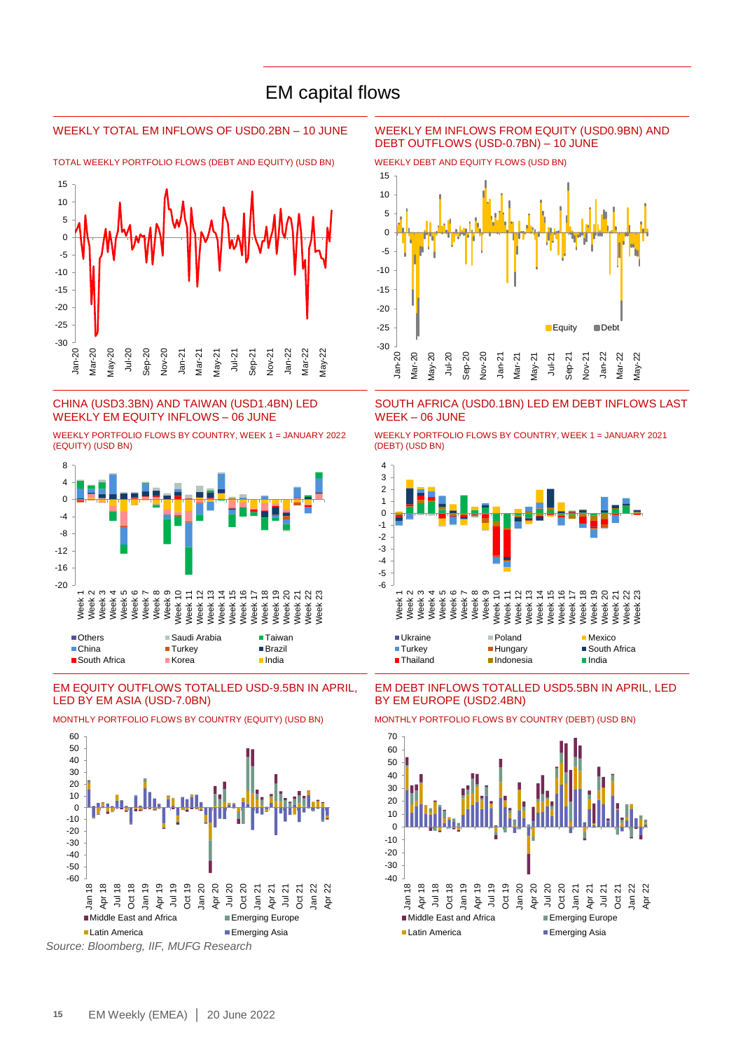### EM capital flows

TOTAL WEEKLY PORTFOLIO FLOWS (DEBT AND EQUITY) (USD BN) WEEKLY DEBT AND EQUITY FLOWS (USD BN)



#### CHINA (USD3.3BN) AND TAIWAN (USD1.4BN) LED WEEKLY EM EQUITY INFLOWS – 06 JUNE

WEEKLY PORTFOLIO FLOWS BY COUNTRY, WEEK 1 = JANUARY 2022 (EQUITY) (USD BN)



#### EM EQUITY OUTFLOWS TOTALLED USD-9.5BN IN APRIL, LED BY EM ASIA (USD-7.0BN)



MONTHLY PORTFOLIO FLOWS BY COUNTRY (EQUITY) (USD BN) MONTHLY PORTFOLIO FLOWS BY COUNTRY (DEBT) (USD BN)

*Source: Bloomberg, IIF, MUFG Research*

#### WEEKLY TOTAL EM INFLOWS OF USD0.2BN – 10 JUNE WEEKLY EM INFLOWS FROM EQUITY (USD0.9BN) AND DEBT OUTFLOWS (USD-0.7BN) – 10 JUNE



SOUTH AFRICA (USD0.1BN) LED EM DEBT INFLOWS LAST WEEK – 06 JUNE

WEEKLY PORTFOLIO FLOWS BY COUNTRY, WEEK 1 = JANUARY 2021 (DEBT) (USD BN)



EM DEBT INFLOWS TOTALLED USD5.5BN IN APRIL, LED BY EM EUROPE (USD2.4BN)



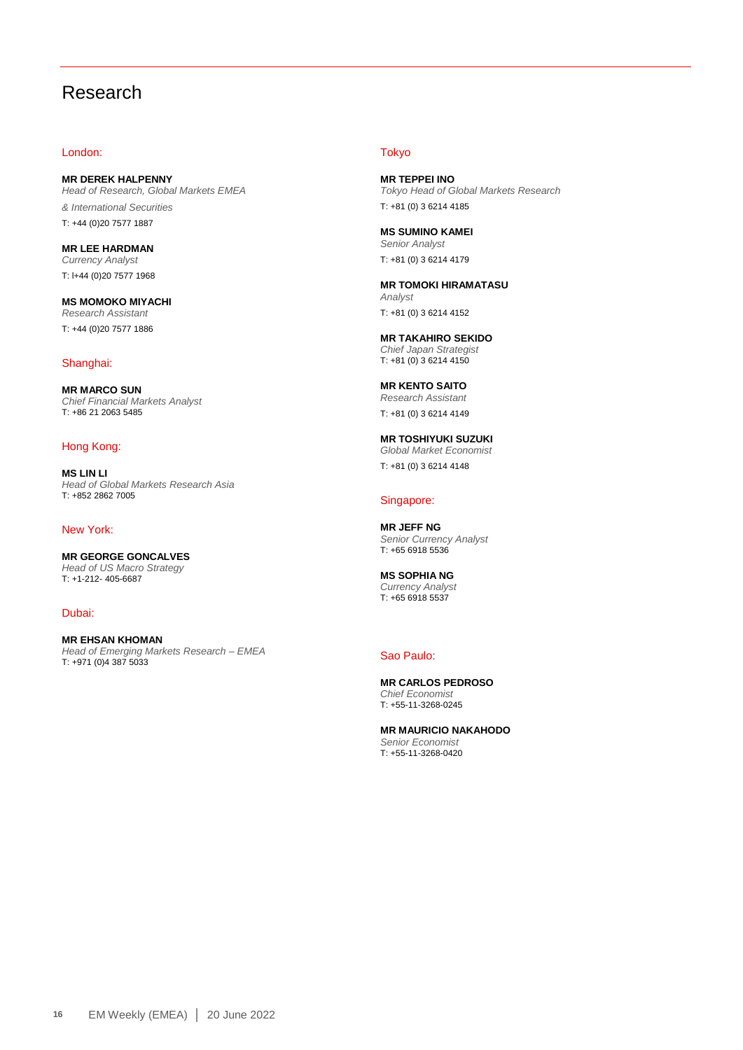### Research

#### London:

**MR DEREK HALPENNY** *Head of Research, Global Markets EMEA & International Securities* T: +44 (0)20 7577 1887

**MR LEE HARDMAN** *Currency Analyst* T: l+44 (0)20 7577 1968

**MS MOMOKO MIYACHI** *Research Assistant* T: +44 (0)20 7577 1886

#### Shanghai:

**MR MARCO SUN** *Chief Financial Markets Analyst*  T: +86 21 2063 5485

#### Hong Kong:

**MS LIN LI** *Head of Global Markets Research Asia* T: +852 2862 7005

#### New York:

**MR GEORGE GONCALVES** *Head of US Macro Strategy*  T: +1-212- 405-6687

Dubai:

**MR EHSAN KHOMAN** *Head of Emerging Markets Research – EMEA*  T: +971 (0)4 387 5033

#### Tokyo

**MR TEPPEI INO** *Tokyo Head of Global Markets Research* T: +81 (0) 3 6214 4185

**MS SUMINO KAMEI** *Senior Analyst* T: +81 (0) 3 6214 4179

**MR TOMOKI HIRAMATASU** *Analyst* T: +81 (0) 3 6214 4152

**MR TAKAHIRO SEKIDO** *Chief Japan Strategist* T: +81 (0) 3 6214 4150

**MR KENTO SAITO** *Research Assistant* T: +81 (0) 3 6214 4149

**MR TOSHIYUKI SUZUKI** *Global Market Economist* T: +81 (0) 3 6214 4148

#### Singapore:

**MR JEFF NG** *Senior Currency Analyst* T: +65 6918 5536

**MS SOPHIA NG** *Currency Analyst* T: +65 6918 5537

#### Sao Paulo:

**MR CARLOS PEDROSO** *Chief Economist* T: +55-11-3268-0245

**MR MAURICIO NAKAHODO** *Senior Economist* T: +55-11-3268-0420